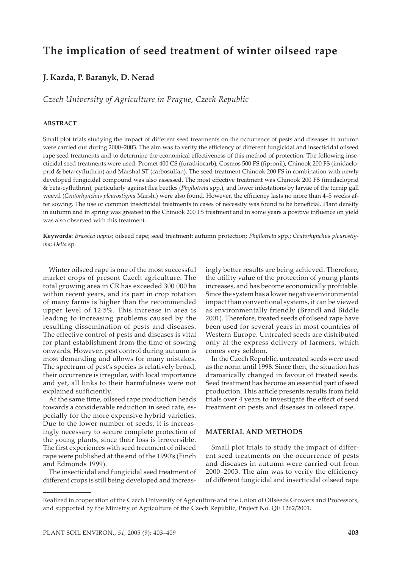## **The implication of seed treatment of winter oilseed rape**

### **J. Kazda, P. Baranyk, D. Nerad**

*Czech University of Agriculture in Prague, Czech Republic*

#### **ABSTRACT**

Small plot trials studying the impact of different seed treatments on the occurrence of pests and diseases in autumn were carried out during 2000–2003. The aim was to verify the efficiency of different fungicidal and insecticidal oilseed rape seed treatments and to determine the economical effectiveness of this method of protection. The following insecticidal seed treatments were used: Promet 400 CS (furathiocarb), Cosmos 500 FS (fipronil), Chinook 200 FS (imidacloprid & beta-cyfluthrin) and Marshal ST (carbosulfan). The seed treatment Chinook 200 FS in combination with newly developed fungicidal compound was also assessed. The most effective treatment was Chinook 200 FS (imidacloprid & beta-cyfluthrin), particularly against flea beetles (*Phyllotreta* spp.), and lower infestations by larvae of the turnip gall weevil (*Ceutorhynchus pleurostigma* Marsh.) were also found. However, the efficiency lasts no more than 4–5 weeks after sowing. The use of common insecticidal treatments in cases of necessity was found to be beneficial. Plant density in autumn and in spring was greatest in the Chinook 200 FS treatment and in some years a positive influence on yield was also observed with this treatment.

**Keywords:** *Brassica napus*; oilseed rape; seed treatment; autumn protection; *Phyllotreta* spp.; *Ceutorhynchus pleurostigma*; *Delia* sp.

Winter oilseed rape is one of the most successful market crops of present Czech agriculture. The total growing area in CR has exceeded 300 000 ha within recent years, and its part in crop rotation of many farms is higher than the recommended upper level of 12.5%. This increase in area is leading to increasing problems caused by the resulting dissemination of pests and diseases. The effective control of pests and diseases is vital for plant establishment from the time of sowing onwards. However, pest control during autumn is most demanding and allows for many mistakes. The spectrum of pest's species is relatively broad, their occurrence is irregular, with local importance and yet, all links to their harmfulness were not explained sufficiently.

At the same time, oilseed rape production heads towards a considerable reduction in seed rate, especially for the more expensive hybrid varieties. Due to the lower number of seeds, it is increasingly necessary to secure complete protection of the young plants, since their loss is irreversible. The first experiences with seed treatment of oilseed rape were published at the end of the 1990's (Finch and Edmonds 1999).

The insecticidal and fungicidal seed treatment of different crops is still being developed and increasingly better results are being achieved. Therefore, the utility value of the protection of young plants increases, and has become economically profitable. Since the system has a lower negative environmental impact than conventional systems, it can be viewed as environmentally friendly (Brandl and Biddle 2001). Therefore, treated seeds of oilseed rape have been used for several years in most countries of Western Europe. Untreated seeds are distributed only at the express delivery of farmers, which comes very seldom.

In the Czech Republic, untreated seeds were used as the norm until 1998. Since then, the situation has dramatically changed in favour of treated seeds. Seed treatment has become an essential part of seed production. This article presents results from field trials over 4 years to investigate the effect of seed treatment on pests and diseases in oilseed rape.

#### **MATERIAL AND METHODS**

Small plot trials to study the impact of different seed treatments on the occurrence of pests and diseases in autumn were carried out from 2000–2003. The aim was to verify the efficiency of different fungicidal and insecticidal oilseed rape

Realized in cooperation of the Czech University of Agriculture and the Union of Oilseeds Growers and Processors, and supported by the Ministry of Agriculture of the Czech Republic, Project No. QE 1262/2001.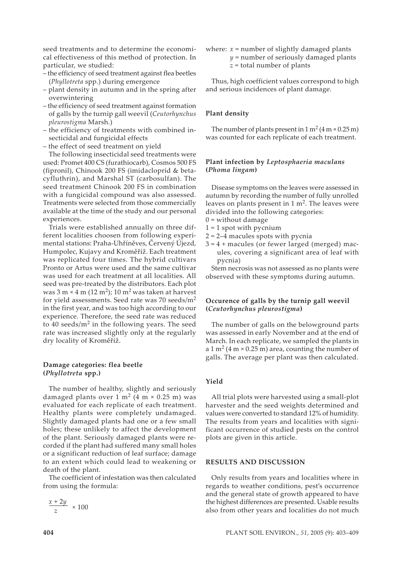seed treatments and to determine the economical effectiveness of this method of protection. In particular, we studied:

- the efficiency of seed treatment against flea beetles (*Phyllotreta* spp.) during emergence
- plant density in autumn and in the spring after overwintering
- the efficiency of seed treatment against formation of galls by the turnip gall weevil (*Ceutorhynchus pleurostigma* Marsh.)
- the efficiency of treatments with combined insecticidal and fungicidal effects
- the effect of seed treatment on yield

The following insecticidal seed treatments were used: Promet 400 CS (furathiocarb), Cosmos 500 FS (fipronil), Chinook 200 FS (imidacloprid & betacyfluthrin), and Marshal ST (carbosulfan). The seed treatment Chinook 200 FS in combination with a fungicidal compound was also assessed. Treatments were selected from those commercially available at the time of the study and our personal experiences.

Trials were established annually on three different localities choosen from following experimental stations: Praha-Uhříněves, Červený Újezd, Humpolec, Kujavy and Kroměříž. Each treatment was replicated four times. The hybrid cultivars Pronto or Artus were used and the same cultivar was used for each treatment at all localities. All seed was pre-treated by the distributors. Each plot was  $3 \text{ m} \times 4 \text{ m} (12 \text{ m}^2)$ ;  $10 \text{ m}^2$  was taken at harvest for yield assessments. Seed rate was 70 seeds/ $m<sup>2</sup>$ in the first year, and was too high according to our experience. Therefore, the seed rate was reduced to 40 seeds/m2 in the following years. The seed rate was increased slightly only at the regularly dry locality of Kroměříž.

#### **Damage categories: flea beetle (***Phyllotreta* **spp.)**

The number of healthy, slightly and seriously damaged plants over  $1 \text{ m}^2$  (4 m  $\times$  0.25 m) was evaluated for each replicate of each treatment. Healthy plants were completely undamaged. Slightly damaged plants had one or a few small holes; these unlikely to affect the development of the plant. Seriously damaged plants were recorded if the plant had suffered many small holes or a significant reduction of leaf surface; damage to an extent which could lead to weakening or death of the plant.

The coefficient of infestation was then calculated from using the formula:

# $\frac{x+2y}{x} \times 100$

where:  $x =$  number of slightly damaged plants

- *y* = number of seriously damaged plants
- *z* = total number of plants

Thus, high coefficient values correspond to high and serious incidences of plant damage.

#### **Plant density**

The number of plants present in  $1 \text{ m}^2 (4 \text{ m} \times 0.25 \text{ m})$ was counted for each replicate of each treatment.

#### **Plant infection by** *Leptosphaeria maculans* **(***Phoma lingam***)**

Disease symptoms on the leaves were assessed in autumn by recording the number of fully unrolled leaves on plants present in  $1 \text{ m}^2$ . The leaves were divided into the following categories:

- $0 =$  without damage
- $1 = 1$  spot with pycnium
- $2 = 2-4$  macules spots with pycnia
- $3 = 4 +$  macules (or fewer larged (merged) macules, covering a significant area of leaf with pycnia)

Stem necrosis was not assessed as no plants were observed with these symptoms during autumn.

#### **Occurence of galls by the turnip gall weevil (***Ceutorhynchus pleurostigma***)**

The number of galls on the belowground parts was assessed in early November and at the end of March. In each replicate, we sampled the plants in a 1 m<sup>2</sup> (4 m × 0.25 m) area, counting the number of galls. The average per plant was then calculated.

#### **Yield**

All trial plots were harvested using a small-plot harvester and the seed weights determined and values were converted to standard 12% of humidity. The results from years and localities with significant occurrence of studied pests on the control plots are given in this article.

#### **RESULTS AND DISCUSSION**

Only results from years and localities where in regards to weather conditions, pest's occurrence and the general state of growth appeared to have the highest differences are presented. Usable results also from other years and localities do not much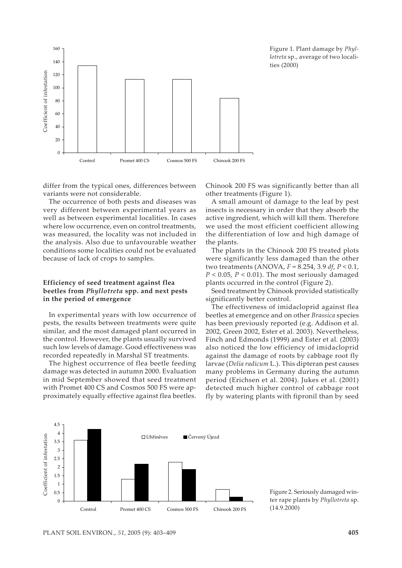

Figure 1. Plant damage by *Phyllotreta* sp., average of two localities (2000)

differ from the typical ones, differences between variants were not considerable.

The occurrence of both pests and diseases was very different between experimental years as well as between experimental localities. In cases where low occurrence, even on control treatments, was measured, the locality was not included in the analysis. Also due to unfavourable weather conditions some localities could not be evaluated because of lack of crops to samples.

#### **Efficiency of seed treatment against flea beetles from** *Phyllotreta* **spp. and next pests in the period of emergence**

In experimental years with low occurrence of pests, the results between treatments were quite similar, and the most damaged plant occurred in the control. However, the plants usually survived such low levels of damage. Good effectiveness was recorded repeatedly in Marshal ST treatments.

The highest occurrence of flea beetle feeding damage was detected in autumn 2000. Evaluation in mid September showed that seed treatment with Promet 400 CS and Cosmos 500 FS were approximately equally effective against flea beetles.

Chinook 200 FS was significantly better than all other treatments (Figure 1).

A small amount of damage to the leaf by pest insects is necessary in order that they absorb the active ingredient, which will kill them. Therefore we used the most efficient coefficient allowing the differentiation of low and high damage of the plants.

The plants in the Chinook 200 FS treated plots were significantly less damaged than the other two treatments (ANOVA, *F* = 8.254, 3.9 *df*, *P* < 0.1, *P* < 0.05, *P* < 0.01). The most seriously damaged plants occurred in the control (Figure 2).

Seed treatment by Chinook provided statistically significantly better control.

The effectiveness of imidacloprid against flea beetles at emergence and on other *Brassica* species has been previously reported (e.g. Addison et al. 2002, Green 2002, Ester et al. 2003). Nevertheless, Finch and Edmonds (1999) and Ester et al. (2003) also noticed the low efficiency of imidacloprid against the damage of roots by cabbage root fly larvae (*Delia radicum* L.). This dipteran pest causes many problems in Germany during the autumn period (Erichsen et al. 2004). Jukes et al. (2001) detected much higher control of cabbage root fly by watering plants with fipronil than by seed



Figure 2. Seriously damaged winter rape plants by *Phyllotreta* sp. (14.9.2000)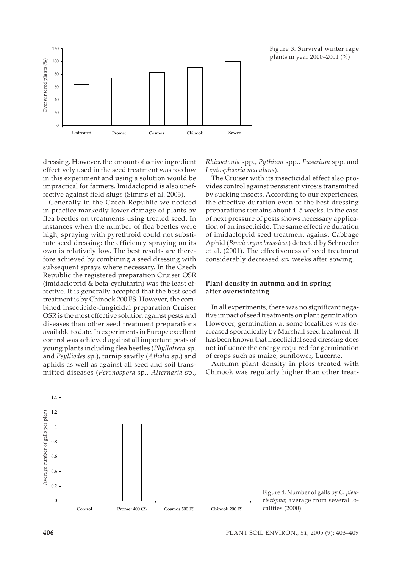

Figure 3. Survival winter rape plants in year 2000–2001 (%)

dressing. However, the amount of active ingredient effectively used in the seed treatment was too low in this experiment and using a solution would be impractical for farmers. Imidacloprid is also uneffective against field slugs (Simms et al. 2003).

Generally in the Czech Republic we noticed in practice markedly lower damage of plants by flea beetles on treatments using treated seed. In instances when the number of flea beetles were high, spraying with pyrethroid could not substitute seed dressing: the efficiency spraying on its own is relatively low. The best results are therefore achieved by combining a seed dressing with subsequent sprays where necessary. In the Czech Republic the registered preparation Cruiser OSR (imidacloprid & beta-cyfluthrin) was the least effective. It is generally accepted that the best seed treatment is by Chinook 200 FS. However, the combined insecticide-fungicidal preparation Cruiser OSR is the most effective solution against pests and diseases than other seed treatment preparations available to date. In experiments in Europe excellent control was achieved against all important pests of young plants including flea beetles (*Phyllotreta* sp. and *Psylliodes* sp.), turnip sawfly (*Athalia* sp.) and aphids as well as against all seed and soil transmitted diseases (*Peronospora* sp., *Alternaria* sp.,

*Rhizoctonia* spp., *Pythium* spp., *Fusarium* spp. and *Leptosphaeria maculans*).

The Cruiser with its insecticidal effect also provides control against persistent virosis transmitted by sucking insects. According to our experiences, the effective duration even of the best dressing preparations remains about 4–5 weeks. In the case of next pressure of pests shows necessary application of an insecticide. The same effective duration of imidacloprid seed treatment against Cabbage Aphid (*Brevicoryne brassicae*) detected by Schroeder et al. (2001). The effectiveness of seed treatment considerably decreased six weeks after sowing.

#### **Plant density in autumn and in spring after overwintering**

In all experiments, there was no significant negative impact of seed treatments on plant germination. However, germination at some localities was decreased sporadically by Marshall seed treatment. It has been known that insecticidal seed dressing does not influence the energy required for germination of crops such as maize, sunflower, Lucerne.

Autumn plant density in plots treated with Chinook was regularly higher than other treat-



Figure 4. Number of galls by *C. pleuristigma*; average from several localities (2000)

1.4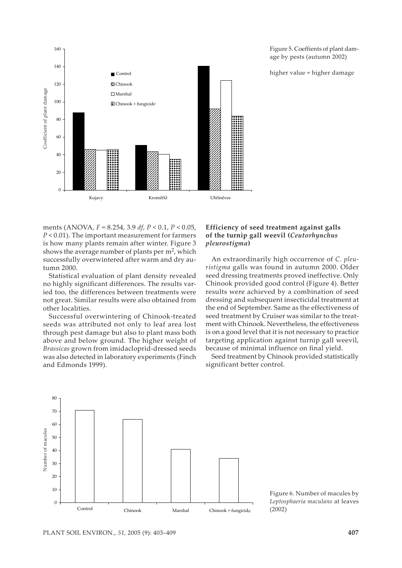

Figure 5. Coeffients of plant damage by pests (autumn 2002)

higher value = higher damage

ments (ANOVA, *F* = 8.254, 3.9 *df*, *P* < 0.1, *P* < 0.05, *P* < 0.01). The important measurement for farmers is how many plants remain after winter. Figure 3 shows the average number of plants per  $m<sup>2</sup>$ , which successfully overwintered after warm and dry autumn 2000.

Statistical evaluation of plant density revealed no highly significant differences. The results varied too, the differences between treatments were not great. Similar results were also obtained from other localities.

Successful overwintering of Chinook-treated seeds was attributed not only to leaf area lost through pest damage but also to plant mass both above and below ground. The higher weight of *Brassicas* grown from imidacloprid-dressed seeds was also detected in laboratory experiments (Finch and Edmonds 1999).

#### **Efficiency of seed treatment against galls of the turnip gall weevil (***Ceutorhynchus pleurostigma***)**

An extraordinarily high occurrence of *C. pleuristigma* galls was found in autumn 2000. Older seed dressing treatments proved ineffective. Only Chinook provided good control (Figure 4). Better results were achieved by a combination of seed dressing and subsequent insecticidal treatment at the end of September. Same as the effectiveness of seed treatment by Cruiser was similar to the treatment with Chinook. Nevertheless, the effectiveness is on a good level that it is not necessary to practice targeting application against turnip gall weevil, because of minimal influence on final yield.

Seed treatment by Chinook provided statistically significant better control.



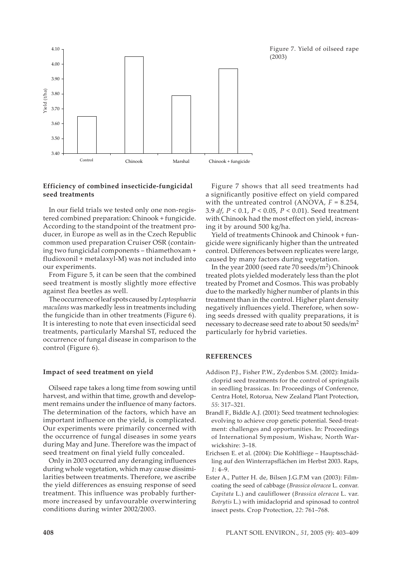Figure 7. Yield of oilseed rape (2003)



#### **Efficiency of combined insecticide-fungicidal seed treatments**

In our field trials we tested only one non-registered combined preparation: Chinook + fungicide. According to the standpoint of the treatment producer, in Europe as well as in the Czech Republic common used preparation Cruiser OSR (containing two fungicidal components – thiamethoxam + fludioxonil + metalaxyl-M) was not included into our experiments.

From Figure 5, it can be seen that the combined seed treatment is mostly slightly more effective against flea beetles as well.

The occurrence of leaf spots caused by *Leptosphaeria maculans* was markedly less in treatments including the fungicide than in other treatments (Figure 6). It is interesting to note that even insecticidal seed treatments, particularly Marshal ST, reduced the occurrence of fungal disease in comparison to the control (Figure 6).

#### **Impact of seed treatment on yield**

Oilseed rape takes a long time from sowing until harvest, and within that time, growth and development remains under the influence of many factors. The determination of the factors, which have an important influence on the yield, is complicated. Our experiments were primarily concerned with the occurrence of fungal diseases in some years during May and June. Therefore was the impact of seed treatment on final yield fully concealed.

Only in 2003 occurred any deranging influences during whole vegetation, which may cause dissimilarities between treatments. Therefore, we ascribe the yield differences as ensuing response of seed treatment. This influence was probably furthermore increased by unfavourable overwintering conditions during winter 2002/2003.

Figure 7 shows that all seed treatments had a significantly positive effect on yield compared with the untreated control (ANOVA,  $F = 8.254$ , 3.9 *df*, *P* < 0.1, *P* < 0.05, *P* < 0.01). Seed treatment with Chinook had the most effect on yield, increasing it by around 500 kg/ha.

Yield of treatments Chinook and Chinook + fungicide were significanly higher than the untreated control. Differences between replicates were large, caused by many factors during vegetation.

In the year 2000 (seed rate 70 seeds/ $m<sup>2</sup>$ ) Chinook treated plots yielded moderately less than the plot treated by Promet and Cosmos. This was probably due to the markedly higher number of plants in this treatment than in the control. Higher plant density negatively influences yield. Therefore, when sowing seeds dressed with quality preparations, it is necessary to decrease seed rate to about 50 seeds/m2 particularly for hybrid varieties.

#### **REFERENCES**

- Addison P.J., Fisher P.W., Zydenbos S.M. (2002): Imidacloprid seed treatments for the control of springtails in seedling brassicas. In: Proceedings of Conference, Centra Hotel, Rotorua, New Zealand Plant Protection, *55*: 317–321.
- Brandl F., Biddle A.J. (2001): Seed treatment technologies: evolving to achieve crop genetic potential. Seed-treatment: challenges and opportunities. In: Proceedings of International Symposium, Wishaw, North Warwickshire: 3–18.
- Erichsen E. et al. (2004): Die Kohlfliege Hauptsschädling auf den Winterrapsflächen im Herbst 2003. Raps, *1*: 4–9.
- Ester A., Putter H. de, Bilsen J.G.P.M van (2003): Filmcoating the seed of cabbage (*Brassica oleracea* L. convar. *Capitata* L.) and cauliflower (*Brassica oleracea* L. var. *Botrytis* L.) with imidacloprid and spinosad to control insect pests. Crop Protection, *22*: 761–768.